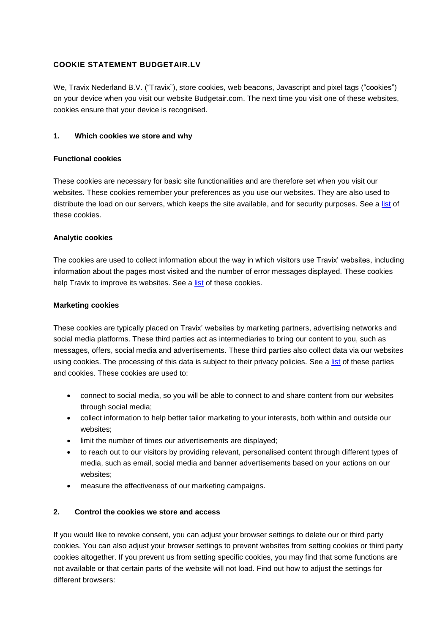## **COOKIE STATEMENT BUDGETAIR.LV**

We, Travix Nederland B.V. ("Travix"), store cookies, web beacons, Javascript and pixel tags ("cookies") on your device when you visit our website Budgetair.com. The next time you visit one of these websites, cookies ensure that your device is recognised.

### **1. Which cookies we store and why**

#### **Functional cookies**

These cookies are necessary for basic site functionalities and are therefore set when you visit our websites. These cookies remember your preferences as you use our websites. They are also used to distribute the load on our servers, which keeps the site available, and for security purposes. See [a list](https://s1.travix.com/budgetair/LV/assets/pdf/bualv-cookie-list-en.pdf) of these cookies.

#### **Analytic cookies**

The cookies are used to collect information about the way in which visitors use Travix' websites, including information about the pages most visited and the number of error messages displayed. These cookies help Travix to improve its websites. See a [list](https://s1.travix.com/budgetair/LV/assets/pdf/bualv-cookie-list-en.pdf) of these cookies.

#### **Marketing cookies**

These cookies are typically placed on Travix' websites by marketing partners, advertising networks and social media platforms. These third parties act as intermediaries to bring our content to you, such as messages, offers, social media and advertisements. These third parties also collect data via our websites using cookies. The processing of this data is subject to their privacy policies. See a [list](https://s1.travix.com/budgetair/LV/assets/pdf/bualv-cookie-list-en.pdf) of these parties and cookies. These cookies are used to:

- connect to social media, so you will be able to connect to and share content from our websites through social media;
- collect information to help better tailor marketing to your interests, both within and outside our websites;
- limit the number of times our advertisements are displayed;
- to reach out to our visitors by providing relevant, personalised content through different types of media, such as email, social media and banner advertisements based on your actions on our websites;
- measure the effectiveness of our marketing campaigns.

## **2. Control the cookies we store and access**

If you would like to revoke consent, you can adjust your browser settings to delete our or third party cookies. You can also adjust your browser settings to prevent websites from setting cookies or third party cookies altogether. If you prevent us from setting specific cookies, you may find that some functions are not available or that certain parts of the website will not load. Find out how to adjust the settings for different browsers: